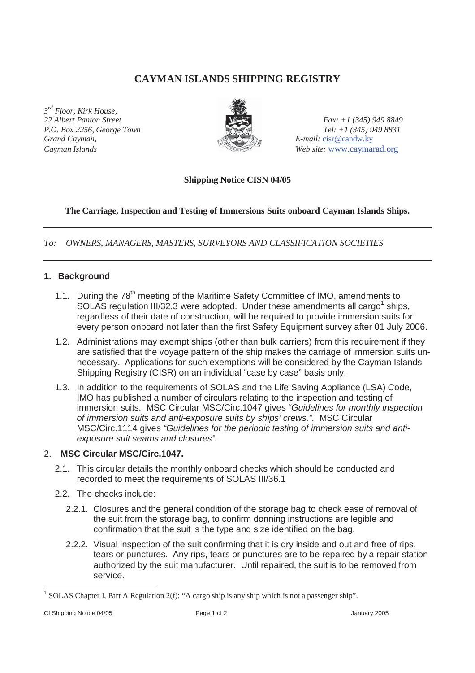# **CAYMAN ISLANDS SHIPPING REGISTRY**

*3rd Floor, Kirk House, Grand Cayman, E-mail:* cisr@candw.ky



*22 Albert Panton Street Fax: +1 (345) 949 8849 P.O. Box 2256, George Town Tel: +1 (345) 949 8831 Cayman Islands Web site:* www.caymarad.org

## **Shipping Notice CISN 04/05**

## **The Carriage, Inspection and Testing of Immersions Suits onboard Cayman Islands Ships.**

*To: OWNERS, MANAGERS, MASTERS, SURVEYORS AND CLASSIFICATION SOCIETIES*

## **1. Background**

- 1.1. During the 78<sup>th</sup> meeting of the Maritime Safety Committee of IMO, amendments to SOLAS regulation III/32.3 were adopted. Under these amendments all cargo<sup>1</sup> ships, regardless of their date of construction, will be required to provide immersion suits for every person onboard not later than the first Safety Equipment survey after 01 July 2006.
- 1.2. Administrations may exempt ships (other than bulk carriers) from this requirement if they are satisfied that the voyage pattern of the ship makes the carriage of immersion suits unnecessary. Applications for such exemptions will be considered by the Cayman Islands Shipping Registry (CISR) on an individual "case by case" basis only.
- 1.3. In addition to the requirements of SOLAS and the Life Saving Appliance (LSA) Code, IMO has published a number of circulars relating to the inspection and testing of immersion suits. MSC Circular MSC/Circ.1047 gives *"Guidelines for monthly inspection of immersion suits and anti-exposure suits by ships' crews.".* MSC Circular MSC/Circ.1114 gives *"Guidelines for the periodic testing of immersion suits and antiexposure suit seams and closures".*

### 2. **MSC Circular MSC/Circ.1047.**

- 2.1. This circular details the monthly onboard checks which should be conducted and recorded to meet the requirements of SOLAS III/36.1
- 2.2. The checks include:
	- 2.2.1. Closures and the general condition of the storage bag to check ease of removal of the suit from the storage bag, to confirm donning instructions are legible and confirmation that the suit is the type and size identified on the bag.
	- 2.2.2. Visual inspection of the suit confirming that it is dry inside and out and free of rips, tears or punctures. Any rips, tears or punctures are to be repaired by a repair station authorized by the suit manufacturer. Until repaired, the suit is to be removed from service.

<sup>&</sup>lt;sup>1</sup> SOLAS Chapter I, Part A Regulation 2(f): "A cargo ship is any ship which is not a passenger ship".